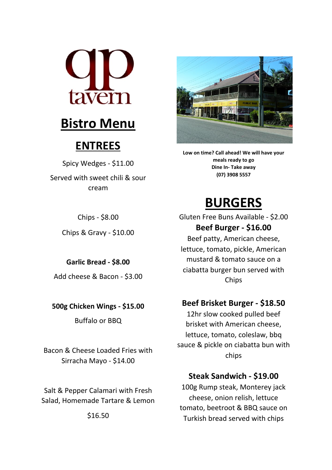

## **Bistro Menu**

## **ENTREES**

Spicy Wedges - \$11.00 Served with sweet chili & sour cream

Chips - \$8.00

Chips & Gravy - \$10.00

**Garlic Bread - \$8.00** Add cheese & Bacon - \$3.00

**500g Chicken Wings - \$15.00**

Buffalo or BBQ

Bacon & Cheese Loaded Fries with Sirracha Mayo - \$14.00

Salt & Pepper Calamari with Fresh Salad, Homemade Tartare & Lemon

\$16.50



Low on time? Call ahead! We will have your meals ready to go **Dine In- Take away (07) 3908 5557**

# **BURGERS**

Gluten Free Buns Available - \$2.00 **Beef Burger - \$16.00** Beef patty, American cheese, lettuce, tomato, pickle, American mustard & tomato sauce on a ciabatta burger bun served with Chips

### **Beef Brisket Burger - \$18.50**

12hr slow cooked pulled beef brisket with American cheese, lettuce, tomato, coleslaw, bbq sauce & pickle on ciabatta bun with chips

### **Steak Sandwich - \$19.00**

100g Rump steak, Monterey jack cheese, onion relish, lettuce tomato, beetroot & BBQ sauce on Turkish bread served with chips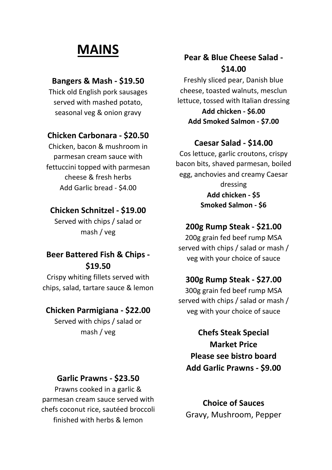# **MAINS**

#### **Bangers & Mash - \$19.50**

Thick old English pork sausages served with mashed potato, seasonal veg & onion gravy

#### **Chicken Carbonara - \$20.50**

Chicken, bacon & mushroom in parmesan cream sauce with fettuccini topped with parmesan cheese & fresh herbs Add Garlic bread - \$4.00

#### **Chicken Schnitzel - \$19.00**

Served with chips / salad or mash / veg

### **Beer Battered Fish & Chips - \$19.50**

Crispy whiting fillets served with chips, salad, tartare sauce & lemon

#### **Chicken Parmigiana - \$22.00**

Served with chips / salad or mash / veg

#### **Garlic Prawns - \$23.50**

Prawns cooked in a garlic & parmesan cream sauce served with chefs coconut rice, sautéed broccoli finished with herbs & lemon

### **Pear & Blue Cheese Salad -\$14.00**

Freshly sliced pear, Danish blue cheese, toasted walnuts, mesclun lettuce, tossed with Italian dressing

**Add chicken - \$6.00 Add Smoked Salmon - \$7.00**

#### **Caesar Salad - \$14.00**

Cos lettuce, garlic croutons, crispy bacon bits, shaved parmesan, boiled egg, anchovies and creamy Caesar dressing **Add chicken - \$5 Smoked Salmon - \$6**

#### **200g Rump Steak - \$21.00**

200g grain fed beef rump MSA served with chips / salad or mash / veg with your choice of sauce

#### **300g Rump Steak - \$27.00**

300g grain fed beef rump MSA served with chips / salad or mash / veg with your choice of sauce

**Chefs Steak Special Market Price Please see bistro board Add Garlic Prawns - \$9.00**

**Choice of Sauces** Gravy, Mushroom, Pepper